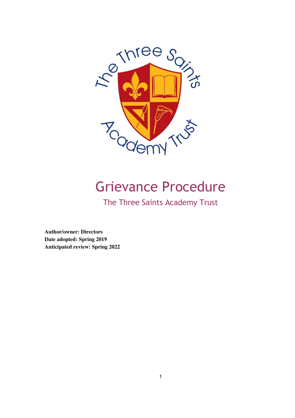

# Grievance Procedure

The Three Saints Academy Trust

**Author/owner: Directors Date adopted: Spring 2019 Anticipated review: Spring 2022**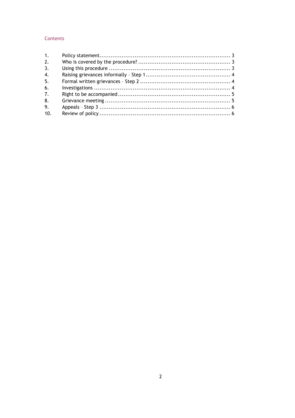## Contents

| 1.             |  |
|----------------|--|
| 2.             |  |
| 3.             |  |
| 4.             |  |
| 5.             |  |
| 6.             |  |
| 7 <sub>1</sub> |  |
| 8.             |  |
| 9.             |  |
| 10.            |  |
|                |  |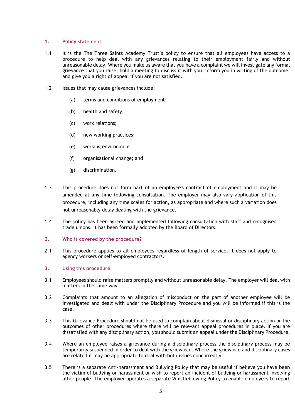### 1. Policy statement

- 1.1 It is the The Three Saints Academy Trust's policy to ensure that all employees have access to a procedure to help deal with any grievances relating to their employment fairly and without unreasonable delay. Where you make us aware that you have a complaint we will investigate any formal grievance that you raise, hold a meeting to discuss it with you, inform you in writing of the outcome, and give you a right of appeal if you are not satisfied.
- 1.2 Issues that may cause grievances include:
	- (a) terms and conditions of employment;
	- (b) health and safety;
	- (c) work relations;
	- (d) new working practices;
	- (e) working environment;
	- (f) organisational change; and
	- (g) discrimination.
- 1.3 This procedure does not form part of an employee's contract of employment and it may be amended at any time following consultation. The employer may also vary application of this procedure, including any time scales for action, as appropriate and where such a variation does not unreasonably delay dealing with the grievance.
- 1.4 The policy has been agreed and implemented following consultation with staff and recognised trade unions. It has been formally adopted by the Board of Directors.

#### 2. Who is covered by the procedure?

2.1 This procedure applies to all employees regardless of length of service. It does not apply to agency workers or self-employed contractors.

#### 3. Using this procedure

- 3.1 Employees should raise matters promptly and without unreasonable delay. The employer will deal with matters in the same way.
- 3.2 Complaints that amount to an allegation of misconduct on the part of another employee will be investigated and dealt with under the Disciplinary Procedure and you will be informed if this is the case.
- 3.3 This Grievance Procedure should not be used to complain about dismissal or disciplinary action or the outcomes of other procedures where there will be relevant appeal procedures in place. If you are dissatisfied with any disciplinary action, you should submit an appeal under the Disciplinary Procedure.
- 3.4 Where an employee raises a grievance during a disciplinary process the disciplinary process may be temporarily suspended in order to deal with the grievance. Where the grievance and disciplinary cases are related it may be appropriate to deal with both issues concurrently.
- 3.5 There is a separate Anti-harassment and Bullying Policy that may be useful if believe you have been the victim of bullying or harassment or wish to report an incident of bullying or harassment involving other people. The employer operates a separate Whistleblowing Policy to enable employees to report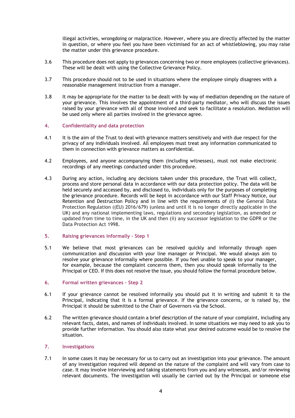illegal activities, wrongdoing or malpractice. However, where you are directly affected by the matter in question, or where you feel you have been victimised for an act of whistleblowing, you may raise the matter under this grievance procedure.

- 3.6 This procedure does not apply to grievances concerning two or more employees (collective grievances). These will be dealt with using the Collective Grievance Policy.
- 3.7 This procedure should not to be used in situations where the employee simply disagrees with a reasonable management instruction from a manager.
- 3.8 It may be appropriate for the matter to be dealt with by way of mediation depending on the nature of your grievance. This involves the appointment of a third-party mediator, who will discuss the issues raised by your grievance with all of those involved and seek to facilitate a resolution. Mediation will be used only where all parties involved in the grievance agree.

### 4. Confidentiality and data protection

- 4.1 It is the aim of the Trust to deal with grievance matters sensitively and with due respect for the privacy of any individuals involved. All employees must treat any information communicated to them in connection with grievance matters as confidential.
- 4.2 Employees, and anyone accompanying them (including witnesses), must not make electronic recordings of any meetings conducted under this procedure.
- 4.3 During any action, including any decisions taken under this procedure, the Trust will collect, process and store personal data in accordance with our data protection policy. The data will be held securely and accessed by, and disclosed to, individuals only for the purposes of completing the grievance procedure. Records will be kept in accordance with our Staff Privacy Notice, our Retention and Destruction Policy and in line with the requirements of (i) the General Data Protection Regulation ((EU) 2016/679) (unless and until it is no longer directly applicable in the UK) and any national implementing laws, regulations and secondary legislation, as amended or updated from time to time, in the UK and then (ii) any successor legislation to the GDPR or the Data Protection Act 1998.

#### 5. Raising grievances informally – Step 1

5.1 We believe that most grievances can be resolved quickly and informally through open communication and discussion with your line manager or Principal. We would always aim to resolve your grievance informally where possible. If you feel unable to speak to your manager, for example, because the complaint concerns them, then you should speak informally to the Principal or CEO. If this does not resolve the issue, you should follow the formal procedure below.

## 6. Formal written grievances – Step 2

- 6.1 If your grievance cannot be resolved informally you should put it in writing and submit it to the Principal, indicating that it is a formal grievance. If the grievance concerns, or is raised by, the Principal it should be submitted to the Chair of Governors via the School.
- 6.2 The written grievance should contain a brief description of the nature of your complaint, including any relevant facts, dates, and names of individuals involved. In some situations we may need to ask you to provide further information. You should also state what your desired outcome would be to resolve the situation.

## 7. Investigations

7.1 In some cases it may be necessary for us to carry out an investigation into your grievance. The amount of any investigation required will depend on the nature of the complaint and will vary from case to case. It may involve interviewing and taking statements from you and any witnesses, and/or reviewing relevant documents. The investigation will usually be carried out by the Principal or someone else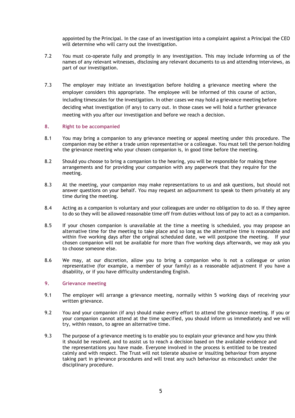appointed by the Principal. In the case of an investigation into a complaint against a Principal the CEO will determine who will carry out the investigation.

- 7.2 You must co-operate fully and promptly in any investigation. This may include informing us of the names of any relevant witnesses, disclosing any relevant documents to us and attending interviews, as part of our investigation.
- 7.3 The employer may initiate an investigation before holding a grievance meeting where the employer considers this appropriate. The employee will be informed of this course of action, including timescales for the investigation. In other cases we may hold a grievance meeting before deciding what investigation (if any) to carry out. In those cases we will hold a further grievance meeting with you after our investigation and before we reach a decision.

### 8. Right to be accompanied

- 8.1 You may bring a companion to any grievance meeting or appeal meeting under this procedure. The companion may be either a trade union representative or a colleague. You must tell the person holding the grievance meeting who your chosen companion is, in good time before the meeting.
- 8.2 Should you choose to bring a companion to the hearing, you will be responsible for making these arrangements and for providing your companion with any paperwork that they require for the meeting.
- 8.3 At the meeting, your companion may make representations to us and ask questions, but should not answer questions on your behalf. You may request an adjournment to speak to them privately at any time during the meeting.
- 8.4 Acting as a companion is voluntary and your colleagues are under no obligation to do so. If they agree to do so they will be allowed reasonable time off from duties without loss of pay to act as a companion.
- 8.5 If your chosen companion is unavailable at the time a meeting is scheduled, you may propose an alternative time for the meeting to take place and so long as the alternative time is reasonable and within five working days after the original scheduled date, we will postpone the meeting. If your chosen companion will not be available for more than five working days afterwards, we may ask you to choose someone else.
- 8.6 We may, at our discretion, allow you to bring a companion who is not a colleague or union representative (for example, a member of your family) as a reasonable adjustment if you have a disability, or if you have difficulty understanding English.

#### 9. Grievance meeting

- 9.1 The employer will arrange a grievance meeting, normally within 5 working days of receiving your written grievance.
- 9.2 You and your companion (if any) should make every effort to attend the grievance meeting. If you or your companion cannot attend at the time specified, you should inform us immediately and we will try, within reason, to agree an alternative time.
- 9.3 The purpose of a grievance meeting is to enable you to explain your grievance and how you think it should be resolved, and to assist us to reach a decision based on the available evidence and the representations you have made. Everyone involved in the process is entitled to be treated calmly and with respect. The Trust will not tolerate abusive or insulting behaviour from anyone taking part in grievance procedures and will treat any such behaviour as misconduct under the disciplinary procedure.